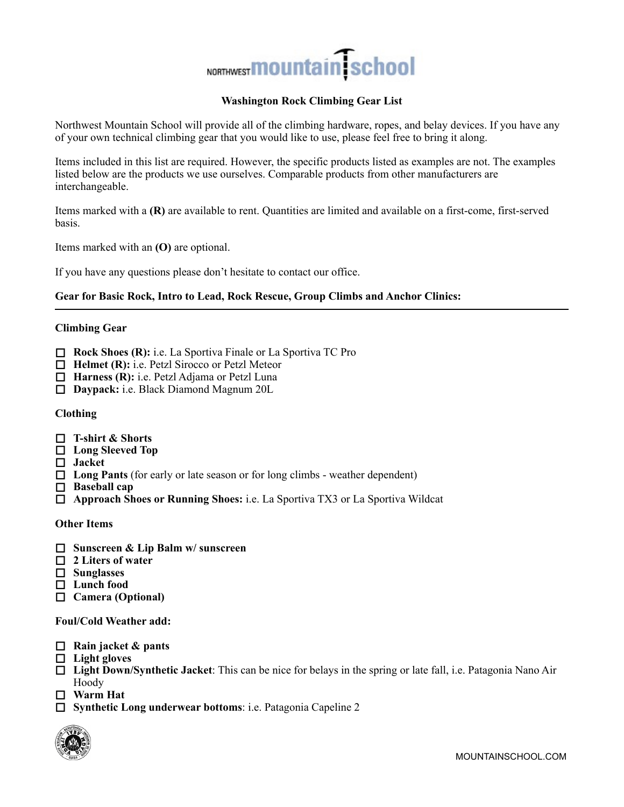

# **Washington Rock Climbing Gear List**

Northwest Mountain School will provide all of the climbing hardware, ropes, and belay devices. If you have any of your own technical climbing gear that you would like to use, please feel free to bring it along.

Items included in this list are required. However, the specific products listed as examples are not. The examples listed below are the products we use ourselves. Comparable products from other manufacturers are interchangeable.

Items marked with a **(R)** are available to rent. Quantities are limited and available on a first-come, first-served basis.

Items marked with an **(O)** are optional.

If you have any questions please don't hesitate to contact our office.

## **Gear for Basic Rock, Intro to Lead, Rock Rescue, Group Climbs and Anchor Clinics:**

## **Climbing Gear**

- □ **Rock Shoes (R):** i.e. La Sportiva Finale or La Sportiva TC Pro
- □ **Helmet (R):** i.e. Petzl Sirocco or Petzl Meteor
- □ **Harness (R):** i.e. Petzl Adjama or Petzl Luna
- ! **Daypack:** i.e. Black Diamond Magnum 20L

#### **Clothing**

- ! **T-shirt & Shorts**
- □ Long Sleeved Top
- □ Jacket
- □ Long Pants (for early or late season or for long climbs weather dependent)
- □ **Baseball cap**
- ! **Approach Shoes or Running Shoes:** i.e. La Sportiva TX3 or La Sportiva Wildcat

# **Other Items**

- ! **Sunscreen & Lip Balm w/ sunscreen**
- □ 2 Liters of water
- ! **Sunglasses**
- ! **Lunch food**
- ! **Camera (Optional)**

#### **Foul/Cold Weather add:**

- ! **Rain jacket & pants**
- ! **Light gloves**
- ! **Light Down/Synthetic Jacket**: This can be nice for belays in the spring or late fall, i.e. Patagonia Nano Air Hoody
- ! **Warm Hat**
- ! **Synthetic Long underwear bottoms**: i.e. Patagonia Capeline 2